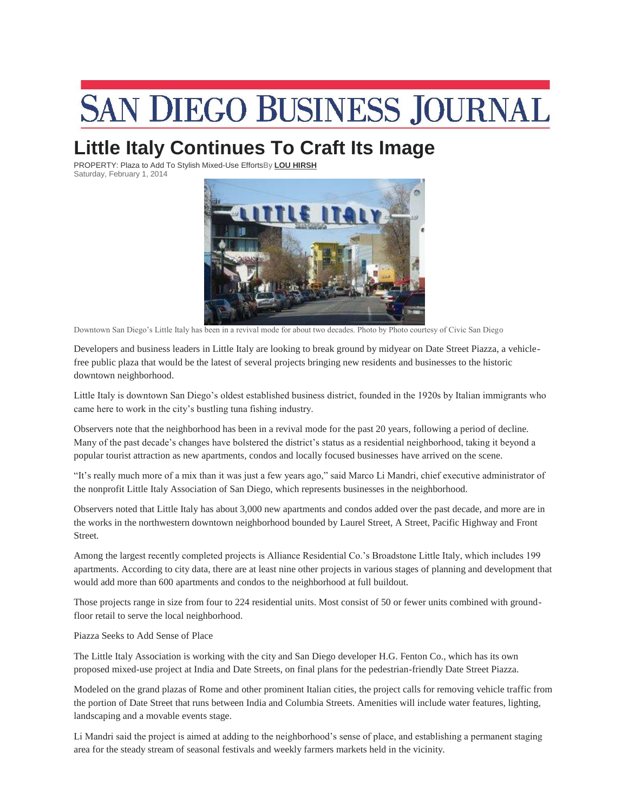## **SAN DIEGO BUSINESS JOURNAL**

## **Little Italy Continues To Craft Its Image**

PROPERTY: Plaza to Add To Stylish Mixed-Use EffortsBy **[LOU HIRSH](http://www.sdbj.com/staff/lou-hirsh/)** Saturday, February 1, 2014



Downtown San Diego's Little Italy has been in a revival mode for about two decades. Photo by Photo courtesy of Civic San Diego

Developers and business leaders in Little Italy are looking to break ground by midyear on Date Street Piazza, a vehiclefree public plaza that would be the latest of several projects bringing new residents and businesses to the historic downtown neighborhood.

Little Italy is downtown San Diego's oldest established business district, founded in the 1920s by Italian immigrants who came here to work in the city's bustling tuna fishing industry.

Observers note that the neighborhood has been in a revival mode for the past 20 years, following a period of decline. Many of the past decade's changes have bolstered the district's status as a residential neighborhood, taking it beyond a popular tourist attraction as new apartments, condos and locally focused businesses have arrived on the scene.

"It's really much more of a mix than it was just a few years ago," said Marco Li Mandri, chief executive administrator of the nonprofit Little Italy Association of San Diego, which represents businesses in the neighborhood.

Observers noted that Little Italy has about 3,000 new apartments and condos added over the past decade, and more are in the works in the northwestern downtown neighborhood bounded by Laurel Street, A Street, Pacific Highway and Front Street.

Among the largest recently completed projects is Alliance Residential Co.'s Broadstone Little Italy, which includes 199 apartments. According to city data, there are at least nine other projects in various stages of planning and development that would add more than 600 apartments and condos to the neighborhood at full buildout.

Those projects range in size from four to 224 residential units. Most consist of 50 or fewer units combined with groundfloor retail to serve the local neighborhood.

Piazza Seeks to Add Sense of Place

The Little Italy Association is working with the city and San Diego developer H.G. Fenton Co., which has its own proposed mixed-use project at India and Date Streets, on final plans for the pedestrian-friendly Date Street Piazza.

Modeled on the grand plazas of Rome and other prominent Italian cities, the project calls for removing vehicle traffic from the portion of Date Street that runs between India and Columbia Streets. Amenities will include water features, lighting, landscaping and a movable events stage.

Li Mandri said the project is aimed at adding to the neighborhood's sense of place, and establishing a permanent staging area for the steady stream of seasonal festivals and weekly farmers markets held in the vicinity.